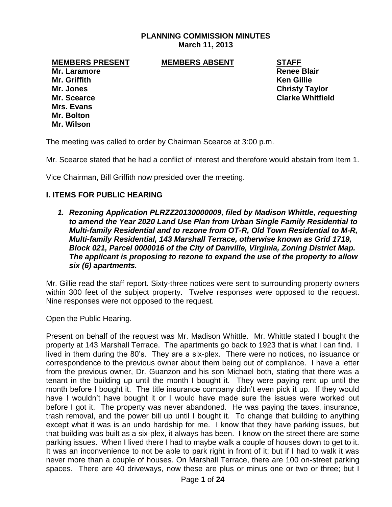## **PLANNING COMMISSION MINUTES March 11, 2013**

#### **MEMBERS PRESENT MEMBERS ABSENT STAFF**

**Mr. Laramore Renee Blair Mr. Griffith Ken Gillie Mr. Jones Christy Taylor Mr. Scearce Clarke Whitfield Mrs. Evans**

**Mr. Bolton Mr. Wilson**

The meeting was called to order by Chairman Scearce at 3:00 p.m.

Mr. Scearce stated that he had a conflict of interest and therefore would abstain from Item 1.

Vice Chairman, Bill Griffith now presided over the meeting.

#### **I. ITEMS FOR PUBLIC HEARING**

*1. Rezoning Application PLRZZ20130000009, filed by Madison Whittle, requesting to amend the Year 2020 Land Use Plan from Urban Single Family Residential to Multi-family Residential and to rezone from OT-R, Old Town Residential to M-R, Multi-family Residential, 143 Marshall Terrace, otherwise known as Grid 1719, Block 021, Parcel 0000016 of the City of Danville, Virginia, Zoning District Map. The applicant is proposing to rezone to expand the use of the property to allow six (6) apartments.*

Mr. Gillie read the staff report. Sixty-three notices were sent to surrounding property owners within 300 feet of the subject property. Twelve responses were opposed to the request. Nine responses were not opposed to the request.

Open the Public Hearing.

Present on behalf of the request was Mr. Madison Whittle. Mr. Whittle stated I bought the property at 143 Marshall Terrace. The apartments go back to 1923 that is what I can find. I lived in them during the 80's. They are a six-plex. There were no notices, no issuance or correspondence to the previous owner about them being out of compliance. I have a letter from the previous owner, Dr. Guanzon and his son Michael both, stating that there was a tenant in the building up until the month I bought it. They were paying rent up until the month before I bought it. The title insurance company didn't even pick it up. If they would have I wouldn't have bought it or I would have made sure the issues were worked out before I got it. The property was never abandoned. He was paying the taxes, insurance, trash removal, and the power bill up until I bought it. To change that building to anything except what it was is an undo hardship for me. I know that they have parking issues, but that building was built as a six-plex, it always has been. I know on the street there are some parking issues. When I lived there I had to maybe walk a couple of houses down to get to it. It was an inconvenience to not be able to park right in front of it; but if I had to walk it was never more than a couple of houses. On Marshall Terrace, there are 100 on-street parking spaces. There are 40 driveways, now these are plus or minus one or two or three; but I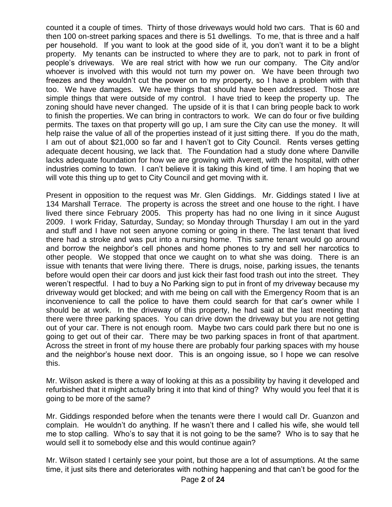counted it a couple of times. Thirty of those driveways would hold two cars. That is 60 and then 100 on-street parking spaces and there is 51 dwellings. To me, that is three and a half per household. If you want to look at the good side of it, you don't want it to be a blight property. My tenants can be instructed to where they are to park, not to park in front of people's driveways. We are real strict with how we run our company. The City and/or whoever is involved with this would not turn my power on. We have been through two freezes and they wouldn't cut the power on to my property, so I have a problem with that too. We have damages. We have things that should have been addressed. Those are simple things that were outside of my control. I have tried to keep the property up. The zoning should have never changed. The upside of it is that I can bring people back to work to finish the properties. We can bring in contractors to work. We can do four or five building permits. The taxes on that property will go up, I am sure the City can use the money. It will help raise the value of all of the properties instead of it just sitting there. If you do the math, I am out of about \$21,000 so far and I haven't got to City Council. Rents verses getting adequate decent housing, we lack that. The Foundation had a study done where Danville lacks adequate foundation for how we are growing with Averett, with the hospital, with other industries coming to town. I can't believe it is taking this kind of time. I am hoping that we will vote this thing up to get to City Council and get moving with it.

Present in opposition to the request was Mr. Glen Giddings. Mr. Giddings stated I live at 134 Marshall Terrace. The property is across the street and one house to the right. I have lived there since February 2005. This property has had no one living in it since August 2009. I work Friday, Saturday, Sunday; so Monday through Thursday I am out in the yard and stuff and I have not seen anyone coming or going in there. The last tenant that lived there had a stroke and was put into a nursing home. This same tenant would go around and borrow the neighbor's cell phones and home phones to try and sell her narcotics to other people. We stopped that once we caught on to what she was doing. There is an issue with tenants that were living there. There is drugs, noise, parking issues, the tenants before would open their car doors and just kick their fast food trash out into the street. They weren't respectful. I had to buy a No Parking sign to put in front of my driveway because my driveway would get blocked; and with me being on call with the Emergency Room that is an inconvenience to call the police to have them could search for that car's owner while I should be at work. In the driveway of this property, he had said at the last meeting that there were three parking spaces. You can drive down the driveway but you are not getting out of your car. There is not enough room. Maybe two cars could park there but no one is going to get out of their car. There may be two parking spaces in front of that apartment. Across the street in front of my house there are probably four parking spaces with my house and the neighbor's house next door. This is an ongoing issue, so I hope we can resolve this.

Mr. Wilson asked is there a way of looking at this as a possibility by having it developed and refurbished that it might actually bring it into that kind of thing? Why would you feel that it is going to be more of the same?

Mr. Giddings responded before when the tenants were there I would call Dr. Guanzon and complain. He wouldn't do anything. If he wasn't there and I called his wife, she would tell me to stop calling. Who's to say that it is not going to be the same? Who is to say that he would sell it to somebody else and this would continue again?

Mr. Wilson stated I certainly see your point, but those are a lot of assumptions. At the same time, it just sits there and deteriorates with nothing happening and that can't be good for the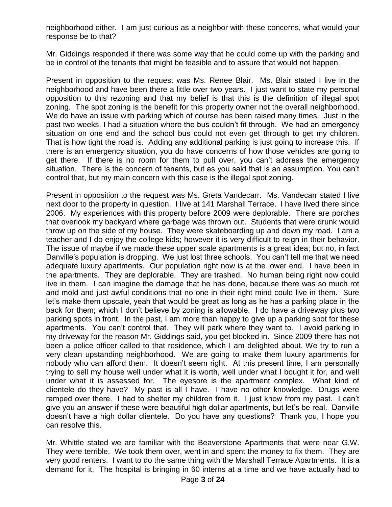neighborhood either. I am just curious as a neighbor with these concerns, what would your response be to that?

Mr. Giddings responded if there was some way that he could come up with the parking and be in control of the tenants that might be feasible and to assure that would not happen.

Present in opposition to the request was Ms. Renee Blair. Ms. Blair stated I live in the neighborhood and have been there a little over two years. I just want to state my personal opposition to this rezoning and that my belief is that this is the definition of illegal spot zoning. The spot zoning is the benefit for this property owner not the overall neighborhood. We do have an issue with parking which of course has been raised many times. Just in the past two weeks, I had a situation where the bus couldn't fit through. We had an emergency situation on one end and the school bus could not even get through to get my children. That is how tight the road is. Adding any additional parking is just going to increase this. If there is an emergency situation, you do have concerns of how those vehicles are going to get there. If there is no room for them to pull over, you can't address the emergency situation. There is the concern of tenants, but as you said that is an assumption. You can't control that, but my main concern with this case is the illegal spot zoning.

Present in opposition to the request was Ms. Greta Vandecarr. Ms. Vandecarr stated I live next door to the property in question. I live at 141 Marshall Terrace. I have lived there since 2006. My experiences with this property before 2009 were deplorable. There are porches that overlook my backyard where garbage was thrown out. Students that were drunk would throw up on the side of my house. They were skateboarding up and down my road. I am a teacher and I do enjoy the college kids; however it is very difficult to reign in their behavior. The issue of maybe if we made these upper scale apartments is a great idea; but no, in fact Danville's population is dropping. We just lost three schools. You can't tell me that we need adequate luxury apartments. Our population right now is at the lower end. I have been in the apartments. They are deplorable. They are trashed. No human being right now could live in them. I can imagine the damage that he has done, because there was so much rot and mold and just awful conditions that no one in their right mind could live in them. Sure let's make them upscale, yeah that would be great as long as he has a parking place in the back for them; which I don't believe by zoning is allowable. I do have a driveway plus two parking spots in front. In the past, I am more than happy to give up a parking spot for these apartments. You can't control that. They will park where they want to. I avoid parking in my driveway for the reason Mr. Giddings said, you get blocked in. Since 2009 there has not been a police officer called to that residence, which I am delighted about. We try to run a very clean upstanding neighborhood. We are going to make them luxury apartments for nobody who can afford them. It doesn't seem right. At this present time, I am personally trying to sell my house well under what it is worth, well under what I bought it for, and well under what it is assessed for. The eyesore is the apartment complex. What kind of clientele do they have? My past is all I have. I have no other knowledge. Drugs were ramped over there. I had to shelter my children from it. I just know from my past. I can't give you an answer if these were beautiful high dollar apartments, but let's be real. Danville doesn't have a high dollar clientele. Do you have any questions? Thank you, I hope you can resolve this.

Mr. Whittle stated we are familiar with the Beaverstone Apartments that were near G.W. They were terrible. We took them over, went in and spent the money to fix them. They are very good renters. I want to do the same thing with the Marshall Terrace Apartments. It is a demand for it. The hospital is bringing in 60 interns at a time and we have actually had to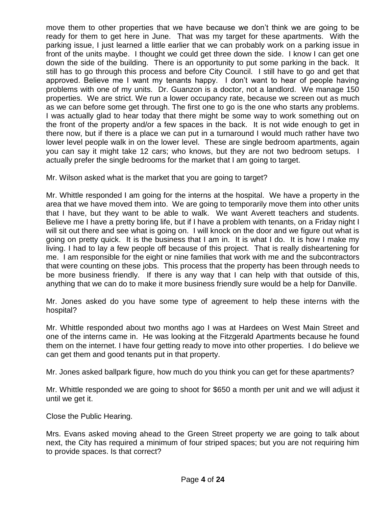move them to other properties that we have because we don't think we are going to be ready for them to get here in June. That was my target for these apartments. With the parking issue, I just learned a little earlier that we can probably work on a parking issue in front of the units maybe. I thought we could get three down the side. I know I can get one down the side of the building. There is an opportunity to put some parking in the back. It still has to go through this process and before City Council. I still have to go and get that approved. Believe me I want my tenants happy. I don't want to hear of people having problems with one of my units. Dr. Guanzon is a doctor, not a landlord. We manage 150 properties. We are strict. We run a lower occupancy rate, because we screen out as much as we can before some get through. The first one to go is the one who starts any problems. I was actually glad to hear today that there might be some way to work something out on the front of the property and/or a few spaces in the back. It is not wide enough to get in there now, but if there is a place we can put in a turnaround I would much rather have two lower level people walk in on the lower level. These are single bedroom apartments, again you can say it might take 12 cars; who knows, but they are not two bedroom setups. I actually prefer the single bedrooms for the market that I am going to target.

Mr. Wilson asked what is the market that you are going to target?

Mr. Whittle responded I am going for the interns at the hospital. We have a property in the area that we have moved them into. We are going to temporarily move them into other units that I have, but they want to be able to walk. We want Averett teachers and students. Believe me I have a pretty boring life, but if I have a problem with tenants, on a Friday night I will sit out there and see what is going on. I will knock on the door and we figure out what is going on pretty quick. It is the business that I am in. It is what I do. It is how I make my living. I had to lay a few people off because of this project. That is really disheartening for me. I am responsible for the eight or nine families that work with me and the subcontractors that were counting on these jobs. This process that the property has been through needs to be more business friendly. If there is any way that I can help with that outside of this, anything that we can do to make it more business friendly sure would be a help for Danville.

Mr. Jones asked do you have some type of agreement to help these interns with the hospital?

Mr. Whittle responded about two months ago I was at Hardees on West Main Street and one of the interns came in. He was looking at the Fitzgerald Apartments because he found them on the internet. I have four getting ready to move into other properties. I do believe we can get them and good tenants put in that property.

Mr. Jones asked ballpark figure, how much do you think you can get for these apartments?

Mr. Whittle responded we are going to shoot for \$650 a month per unit and we will adjust it until we get it.

Close the Public Hearing.

Mrs. Evans asked moving ahead to the Green Street property we are going to talk about next, the City has required a minimum of four striped spaces; but you are not requiring him to provide spaces. Is that correct?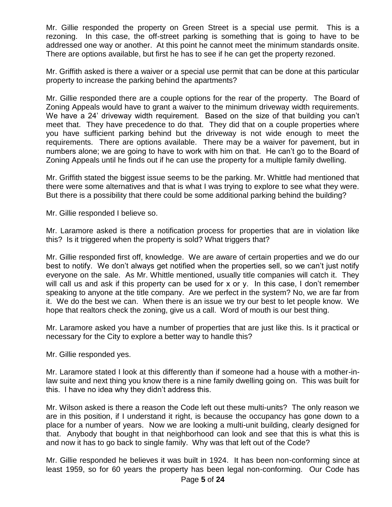Mr. Gillie responded the property on Green Street is a special use permit. This is a rezoning. In this case, the off-street parking is something that is going to have to be addressed one way or another. At this point he cannot meet the minimum standards onsite. There are options available, but first he has to see if he can get the property rezoned.

Mr. Griffith asked is there a waiver or a special use permit that can be done at this particular property to increase the parking behind the apartments?

Mr. Gillie responded there are a couple options for the rear of the property. The Board of Zoning Appeals would have to grant a waiver to the minimum driveway width requirements. We have a 24' driveway width requirement. Based on the size of that building you can't meet that. They have precedence to do that. They did that on a couple properties where you have sufficient parking behind but the driveway is not wide enough to meet the requirements. There are options available. There may be a waiver for pavement, but in numbers alone; we are going to have to work with him on that. He can't go to the Board of Zoning Appeals until he finds out if he can use the property for a multiple family dwelling.

Mr. Griffith stated the biggest issue seems to be the parking. Mr. Whittle had mentioned that there were some alternatives and that is what I was trying to explore to see what they were. But there is a possibility that there could be some additional parking behind the building?

Mr. Gillie responded I believe so.

Mr. Laramore asked is there a notification process for properties that are in violation like this? Is it triggered when the property is sold? What triggers that?

Mr. Gillie responded first off, knowledge. We are aware of certain properties and we do our best to notify. We don't always get notified when the properties sell, so we can't just notify everyone on the sale. As Mr. Whittle mentioned, usually title companies will catch it. They will call us and ask if this property can be used for x or y. In this case, I don't remember speaking to anyone at the title company. Are we perfect in the system? No, we are far from it. We do the best we can. When there is an issue we try our best to let people know. We hope that realtors check the zoning, give us a call. Word of mouth is our best thing.

Mr. Laramore asked you have a number of properties that are just like this. Is it practical or necessary for the City to explore a better way to handle this?

Mr. Gillie responded yes.

Mr. Laramore stated I look at this differently than if someone had a house with a mother-inlaw suite and next thing you know there is a nine family dwelling going on. This was built for this. I have no idea why they didn't address this.

Mr. Wilson asked is there a reason the Code left out these multi-units? The only reason we are in this position, if I understand it right, is because the occupancy has gone down to a place for a number of years. Now we are looking a multi-unit building, clearly designed for that. Anybody that bought in that neighborhood can look and see that this is what this is and now it has to go back to single family. Why was that left out of the Code?

Mr. Gillie responded he believes it was built in 1924. It has been non-conforming since at least 1959, so for 60 years the property has been legal non-conforming. Our Code has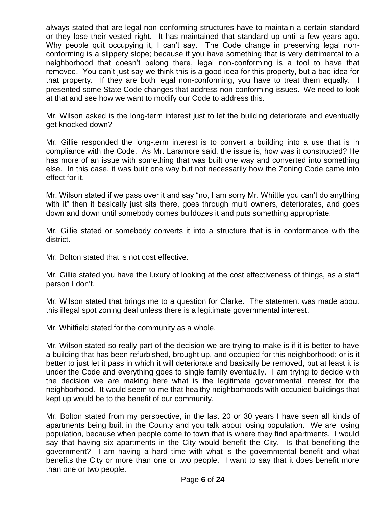always stated that are legal non-conforming structures have to maintain a certain standard or they lose their vested right. It has maintained that standard up until a few years ago. Why people quit occupying it, I can't say. The Code change in preserving legal nonconforming is a slippery slope; because if you have something that is very detrimental to a neighborhood that doesn't belong there, legal non-conforming is a tool to have that removed. You can't just say we think this is a good idea for this property, but a bad idea for that property. If they are both legal non-conforming, you have to treat them equally. I presented some State Code changes that address non-conforming issues. We need to look at that and see how we want to modify our Code to address this.

Mr. Wilson asked is the long-term interest just to let the building deteriorate and eventually get knocked down?

Mr. Gillie responded the long-term interest is to convert a building into a use that is in compliance with the Code. As Mr. Laramore said, the issue is, how was it constructed? He has more of an issue with something that was built one way and converted into something else. In this case, it was built one way but not necessarily how the Zoning Code came into effect for it.

Mr. Wilson stated if we pass over it and say "no, I am sorry Mr. Whittle you can't do anything with it" then it basically just sits there, goes through multi owners, deteriorates, and goes down and down until somebody comes bulldozes it and puts something appropriate.

Mr. Gillie stated or somebody converts it into a structure that is in conformance with the district.

Mr. Bolton stated that is not cost effective.

Mr. Gillie stated you have the luxury of looking at the cost effectiveness of things, as a staff person I don't.

Mr. Wilson stated that brings me to a question for Clarke. The statement was made about this illegal spot zoning deal unless there is a legitimate governmental interest.

Mr. Whitfield stated for the community as a whole.

Mr. Wilson stated so really part of the decision we are trying to make is if it is better to have a building that has been refurbished, brought up, and occupied for this neighborhood; or is it better to just let it pass in which it will deteriorate and basically be removed, but at least it is under the Code and everything goes to single family eventually. I am trying to decide with the decision we are making here what is the legitimate governmental interest for the neighborhood. It would seem to me that healthy neighborhoods with occupied buildings that kept up would be to the benefit of our community.

Mr. Bolton stated from my perspective, in the last 20 or 30 years I have seen all kinds of apartments being built in the County and you talk about losing population. We are losing population, because when people come to town that is where they find apartments. I would say that having six apartments in the City would benefit the City. Is that benefiting the government? I am having a hard time with what is the governmental benefit and what benefits the City or more than one or two people. I want to say that it does benefit more than one or two people.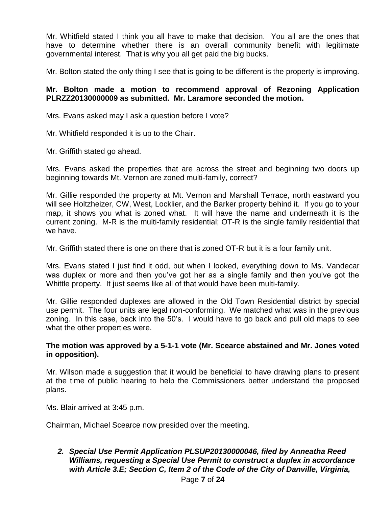Mr. Whitfield stated I think you all have to make that decision. You all are the ones that have to determine whether there is an overall community benefit with legitimate governmental interest. That is why you all get paid the big bucks.

Mr. Bolton stated the only thing I see that is going to be different is the property is improving.

## **Mr. Bolton made a motion to recommend approval of Rezoning Application PLRZZ20130000009 as submitted. Mr. Laramore seconded the motion.**

Mrs. Evans asked may I ask a question before I vote?

Mr. Whitfield responded it is up to the Chair.

Mr. Griffith stated go ahead.

Mrs. Evans asked the properties that are across the street and beginning two doors up beginning towards Mt. Vernon are zoned multi-family, correct?

Mr. Gillie responded the property at Mt. Vernon and Marshall Terrace, north eastward you will see Holtzheizer, CW, West, Locklier, and the Barker property behind it. If you go to your map, it shows you what is zoned what. It will have the name and underneath it is the current zoning. M-R is the multi-family residential; OT-R is the single family residential that we have.

Mr. Griffith stated there is one on there that is zoned OT-R but it is a four family unit.

Mrs. Evans stated I just find it odd, but when I looked, everything down to Ms. Vandecar was duplex or more and then you've got her as a single family and then you've got the Whittle property. It just seems like all of that would have been multi-family.

Mr. Gillie responded duplexes are allowed in the Old Town Residential district by special use permit. The four units are legal non-conforming. We matched what was in the previous zoning. In this case, back into the 50's. I would have to go back and pull old maps to see what the other properties were.

#### **The motion was approved by a 5-1-1 vote (Mr. Scearce abstained and Mr. Jones voted in opposition).**

Mr. Wilson made a suggestion that it would be beneficial to have drawing plans to present at the time of public hearing to help the Commissioners better understand the proposed plans.

Ms. Blair arrived at 3:45 p.m.

Chairman, Michael Scearce now presided over the meeting.

# *2. Special Use Permit Application PLSUP20130000046, filed by Anneatha Reed Williams, requesting a Special Use Permit to construct a duplex in accordance with Article 3.E; Section C, Item 2 of the Code of the City of Danville, Virginia,*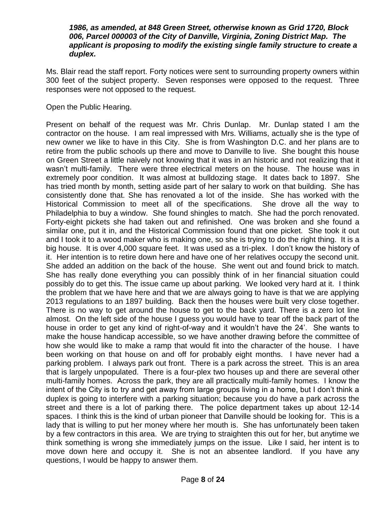#### *1986, as amended, at 848 Green Street, otherwise known as Grid 1720, Block 006, Parcel 000003 of the City of Danville, Virginia, Zoning District Map. The applicant is proposing to modify the existing single family structure to create a duplex.*

Ms. Blair read the staff report. Forty notices were sent to surrounding property owners within 300 feet of the subject property. Seven responses were opposed to the request. Three responses were not opposed to the request.

Open the Public Hearing.

Present on behalf of the request was Mr. Chris Dunlap. Mr. Dunlap stated I am the contractor on the house. I am real impressed with Mrs. Williams, actually she is the type of new owner we like to have in this City. She is from Washington D.C. and her plans are to retire from the public schools up there and move to Danville to live. She bought this house on Green Street a little naively not knowing that it was in an historic and not realizing that it wasn't multi-family. There were three electrical meters on the house. The house was in extremely poor condition. It was almost at bulldozing stage. It dates back to 1897. She has tried month by month, setting aside part of her salary to work on that building. She has consistently done that. She has renovated a lot of the inside. She has worked with the Historical Commission to meet all of the specifications. She drove all the way to Philadelphia to buy a window. She found shingles to match. She had the porch renovated. Forty-eight pickets she had taken out and refinished. One was broken and she found a similar one, put it in, and the Historical Commission found that one picket. She took it out and I took it to a wood maker who is making one, so she is trying to do the right thing. It is a big house. It is over 4,000 square feet. It was used as a tri-plex. I don't know the history of it. Her intention is to retire down here and have one of her relatives occupy the second unit. She added an addition on the back of the house. She went out and found brick to match. She has really done everything you can possibly think of in her financial situation could possibly do to get this. The issue came up about parking. We looked very hard at it. I think the problem that we have here and that we are always going to have is that we are applying 2013 regulations to an 1897 building. Back then the houses were built very close together. There is no way to get around the house to get to the back yard. There is a zero lot line almost. On the left side of the house I guess you would have to tear off the back part of the house in order to get any kind of right-of-way and it wouldn't have the 24'. She wants to make the house handicap accessible, so we have another drawing before the committee of how she would like to make a ramp that would fit into the character of the house. I have been working on that house on and off for probably eight months. I have never had a parking problem. I always park out front. There is a park across the street. This is an area that is largely unpopulated. There is a four-plex two houses up and there are several other multi-family homes. Across the park, they are all practically multi-family homes. I know the intent of the City is to try and get away from large groups living in a home, but I don't think a duplex is going to interfere with a parking situation; because you do have a park across the street and there is a lot of parking there. The police department takes up about 12-14 spaces. I think this is the kind of urban pioneer that Danville should be looking for. This is a lady that is willing to put her money where her mouth is. She has unfortunately been taken by a few contractors in this area. We are trying to straighten this out for her, but anytime we think something is wrong she immediately jumps on the issue. Like I said, her intent is to move down here and occupy it. She is not an absentee landlord. If you have any questions, I would be happy to answer them.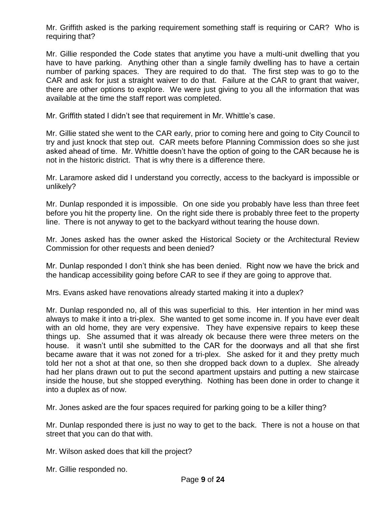Mr. Griffith asked is the parking requirement something staff is requiring or CAR? Who is requiring that?

Mr. Gillie responded the Code states that anytime you have a multi-unit dwelling that you have to have parking. Anything other than a single family dwelling has to have a certain number of parking spaces. They are required to do that. The first step was to go to the CAR and ask for just a straight waiver to do that. Failure at the CAR to grant that waiver, there are other options to explore. We were just giving to you all the information that was available at the time the staff report was completed.

Mr. Griffith stated I didn't see that requirement in Mr. Whittle's case.

Mr. Gillie stated she went to the CAR early, prior to coming here and going to City Council to try and just knock that step out. CAR meets before Planning Commission does so she just asked ahead of time. Mr. Whittle doesn't have the option of going to the CAR because he is not in the historic district. That is why there is a difference there.

Mr. Laramore asked did I understand you correctly, access to the backyard is impossible or unlikely?

Mr. Dunlap responded it is impossible. On one side you probably have less than three feet before you hit the property line. On the right side there is probably three feet to the property line. There is not anyway to get to the backyard without tearing the house down.

Mr. Jones asked has the owner asked the Historical Society or the Architectural Review Commission for other requests and been denied?

Mr. Dunlap responded I don't think she has been denied. Right now we have the brick and the handicap accessibility going before CAR to see if they are going to approve that.

Mrs. Evans asked have renovations already started making it into a duplex?

Mr. Dunlap responded no, all of this was superficial to this. Her intention in her mind was always to make it into a tri-plex. She wanted to get some income in. If you have ever dealt with an old home, they are very expensive. They have expensive repairs to keep these things up. She assumed that it was already ok because there were three meters on the house. it wasn't until she submitted to the CAR for the doorways and all that she first became aware that it was not zoned for a tri-plex. She asked for it and they pretty much told her not a shot at that one, so then she dropped back down to a duplex. She already had her plans drawn out to put the second apartment upstairs and putting a new staircase inside the house, but she stopped everything. Nothing has been done in order to change it into a duplex as of now.

Mr. Jones asked are the four spaces required for parking going to be a killer thing?

Mr. Dunlap responded there is just no way to get to the back. There is not a house on that street that you can do that with.

Mr. Wilson asked does that kill the project?

Mr. Gillie responded no.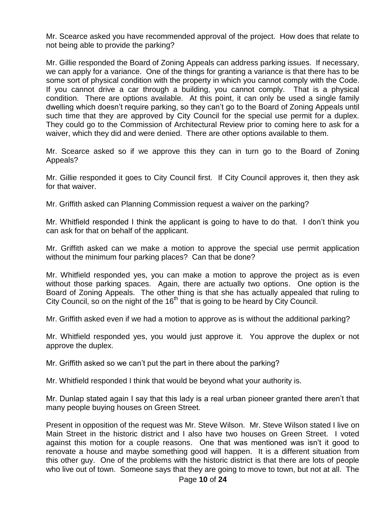Mr. Scearce asked you have recommended approval of the project. How does that relate to not being able to provide the parking?

Mr. Gillie responded the Board of Zoning Appeals can address parking issues. If necessary, we can apply for a variance. One of the things for granting a variance is that there has to be some sort of physical condition with the property in which you cannot comply with the Code. If you cannot drive a car through a building, you cannot comply. That is a physical condition. There are options available. At this point, it can only be used a single family dwelling which doesn't require parking, so they can't go to the Board of Zoning Appeals until such time that they are approved by City Council for the special use permit for a duplex. They could go to the Commission of Architectural Review prior to coming here to ask for a waiver, which they did and were denied. There are other options available to them.

Mr. Scearce asked so if we approve this they can in turn go to the Board of Zoning Appeals?

Mr. Gillie responded it goes to City Council first. If City Council approves it, then they ask for that waiver.

Mr. Griffith asked can Planning Commission request a waiver on the parking?

Mr. Whitfield responded I think the applicant is going to have to do that. I don't think you can ask for that on behalf of the applicant.

Mr. Griffith asked can we make a motion to approve the special use permit application without the minimum four parking places? Can that be done?

Mr. Whitfield responded yes, you can make a motion to approve the project as is even without those parking spaces. Again, there are actually two options. One option is the Board of Zoning Appeals. The other thing is that she has actually appealed that ruling to City Council, so on the night of the  $16<sup>th</sup>$  that is going to be heard by City Council.

Mr. Griffith asked even if we had a motion to approve as is without the additional parking?

Mr. Whitfield responded yes, you would just approve it. You approve the duplex or not approve the duplex.

Mr. Griffith asked so we can't put the part in there about the parking?

Mr. Whitfield responded I think that would be beyond what your authority is.

Mr. Dunlap stated again I say that this lady is a real urban pioneer granted there aren't that many people buying houses on Green Street.

Present in opposition of the request was Mr. Steve Wilson. Mr. Steve Wilson stated I live on Main Street in the historic district and I also have two houses on Green Street. I voted against this motion for a couple reasons. One that was mentioned was isn't it good to renovate a house and maybe something good will happen. It is a different situation from this other guy. One of the problems with the historic district is that there are lots of people who live out of town. Someone says that they are going to move to town, but not at all. The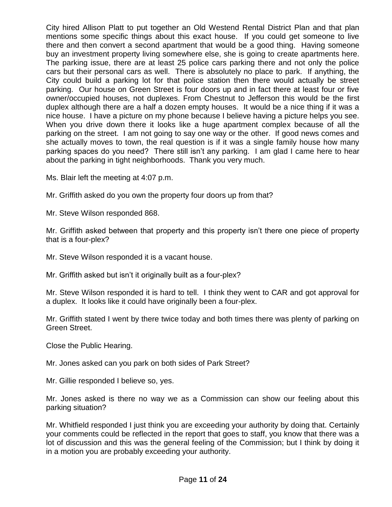City hired Allison Platt to put together an Old Westend Rental District Plan and that plan mentions some specific things about this exact house. If you could get someone to live there and then convert a second apartment that would be a good thing. Having someone buy an investment property living somewhere else, she is going to create apartments here. The parking issue, there are at least 25 police cars parking there and not only the police cars but their personal cars as well. There is absolutely no place to park. If anything, the City could build a parking lot for that police station then there would actually be street parking. Our house on Green Street is four doors up and in fact there at least four or five owner/occupied houses, not duplexes. From Chestnut to Jefferson this would be the first duplex although there are a half a dozen empty houses. It would be a nice thing if it was a nice house. I have a picture on my phone because I believe having a picture helps you see. When you drive down there it looks like a huge apartment complex because of all the parking on the street. I am not going to say one way or the other. If good news comes and she actually moves to town, the real question is if it was a single family house how many parking spaces do you need? There still isn't any parking. I am glad I came here to hear about the parking in tight neighborhoods. Thank you very much.

Ms. Blair left the meeting at 4:07 p.m.

Mr. Griffith asked do you own the property four doors up from that?

Mr. Steve Wilson responded 868.

Mr. Griffith asked between that property and this property isn't there one piece of property that is a four-plex?

Mr. Steve Wilson responded it is a vacant house.

Mr. Griffith asked but isn't it originally built as a four-plex?

Mr. Steve Wilson responded it is hard to tell. I think they went to CAR and got approval for a duplex. It looks like it could have originally been a four-plex.

Mr. Griffith stated I went by there twice today and both times there was plenty of parking on Green Street.

Close the Public Hearing.

Mr. Jones asked can you park on both sides of Park Street?

Mr. Gillie responded I believe so, yes.

Mr. Jones asked is there no way we as a Commission can show our feeling about this parking situation?

Mr. Whitfield responded I just think you are exceeding your authority by doing that. Certainly your comments could be reflected in the report that goes to staff, you know that there was a lot of discussion and this was the general feeling of the Commission; but I think by doing it in a motion you are probably exceeding your authority.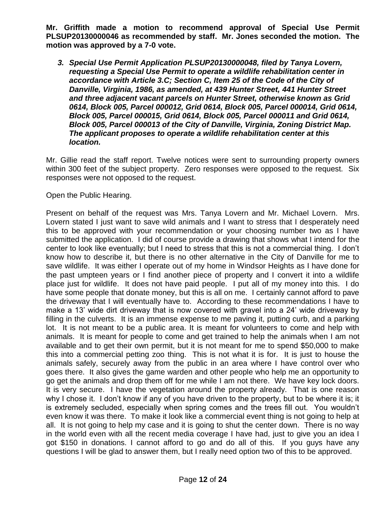**Mr. Griffith made a motion to recommend approval of Special Use Permit PLSUP20130000046 as recommended by staff. Mr. Jones seconded the motion. The motion was approved by a 7-0 vote.**

*3. Special Use Permit Application PLSUP20130000048, filed by Tanya Lovern, requesting a Special Use Permit to operate a wildlife rehabilitation center in accordance with Article 3.C; Section C, Item 25 of the Code of the City of Danville, Virginia, 1986, as amended, at 439 Hunter Street, 441 Hunter Street and three adjacent vacant parcels on Hunter Street, otherwise known as Grid 0614, Block 005, Parcel 000012, Grid 0614, Block 005, Parcel 000014, Grid 0614, Block 005, Parcel 000015, Grid 0614, Block 005, Parcel 000011 and Grid 0614, Block 005, Parcel 000013 of the City of Danville, Virginia, Zoning District Map. The applicant proposes to operate a wildlife rehabilitation center at this location.* 

Mr. Gillie read the staff report. Twelve notices were sent to surrounding property owners within 300 feet of the subject property. Zero responses were opposed to the request. Six responses were not opposed to the request.

## Open the Public Hearing.

Present on behalf of the request was Mrs. Tanya Lovern and Mr. Michael Lovern. Mrs. Lovern stated I just want to save wild animals and I want to stress that I desperately need this to be approved with your recommendation or your choosing number two as I have submitted the application. I did of course provide a drawing that shows what I intend for the center to look like eventually; but I need to stress that this is not a commercial thing. I don't know how to describe it, but there is no other alternative in the City of Danville for me to save wildlife. It was either I operate out of my home in Windsor Heights as I have done for the past umpteen years or I find another piece of property and I convert it into a wildlife place just for wildlife. It does not have paid people. I put all of my money into this. I do have some people that donate money, but this is all on me. I certainly cannot afford to pave the driveway that I will eventually have to. According to these recommendations I have to make a 13' wide dirt driveway that is now covered with gravel into a 24' wide driveway by filling in the culverts. It is an immense expense to me paving it, putting curb, and a parking lot. It is not meant to be a public area. It is meant for volunteers to come and help with animals. It is meant for people to come and get trained to help the animals when I am not available and to get their own permit, but it is not meant for me to spend \$50,000 to make this into a commercial petting zoo thing. This is not what it is for. It is just to house the animals safely, securely away from the public in an area where I have control over who goes there. It also gives the game warden and other people who help me an opportunity to go get the animals and drop them off for me while I am not there. We have key lock doors. It is very secure. I have the vegetation around the property already. That is one reason why I chose it. I don't know if any of you have driven to the property, but to be where it is; it is extremely secluded, especially when spring comes and the trees fill out. You wouldn't even know it was there. To make it look like a commercial event thing is not going to help at all. It is not going to help my case and it is going to shut the center down. There is no way in the world even with all the recent media coverage I have had, just to give you an idea I got \$150 in donations. I cannot afford to go and do all of this. If you guys have any questions I will be glad to answer them, but I really need option two of this to be approved.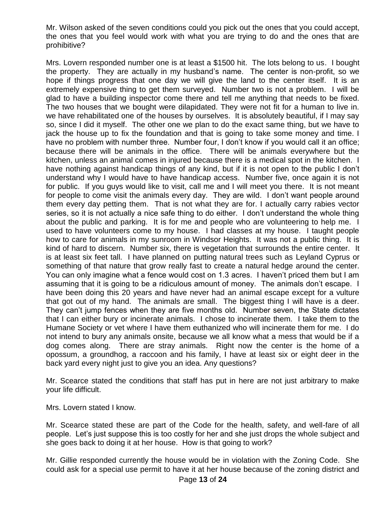Mr. Wilson asked of the seven conditions could you pick out the ones that you could accept, the ones that you feel would work with what you are trying to do and the ones that are prohibitive?

Mrs. Lovern responded number one is at least a \$1500 hit. The lots belong to us. I bought the property. They are actually in my husband's name. The center is non-profit, so we hope if things progress that one day we will give the land to the center itself. It is an extremely expensive thing to get them surveyed. Number two is not a problem. I will be glad to have a building inspector come there and tell me anything that needs to be fixed. The two houses that we bought were dilapidated. They were not fit for a human to live in. we have rehabilitated one of the houses by ourselves. It is absolutely beautiful, if I may say so, since I did it myself. The other one we plan to do the exact same thing, but we have to jack the house up to fix the foundation and that is going to take some money and time. I have no problem with number three. Number four, I don't know if you would call it an office; because there will be animals in the office. There will be animals everywhere but the kitchen, unless an animal comes in injured because there is a medical spot in the kitchen. I have nothing against handicap things of any kind, but if it is not open to the public I don't understand why I would have to have handicap access. Number five, once again it is not for public. If you guys would like to visit, call me and I will meet you there. It is not meant for people to come visit the animals every day. They are wild. I don't want people around them every day petting them. That is not what they are for. I actually carry rabies vector series, so it is not actually a nice safe thing to do either. I don't understand the whole thing about the public and parking. It is for me and people who are volunteering to help me. I used to have volunteers come to my house. I had classes at my house. I taught people how to care for animals in my sunroom in Windsor Heights. It was not a public thing. It is kind of hard to discern. Number six, there is vegetation that surrounds the entire center. It is at least six feet tall. I have planned on putting natural trees such as Leyland Cyprus or something of that nature that grow really fast to create a natural hedge around the center. You can only imagine what a fence would cost on 1.3 acres. I haven't priced them but I am assuming that it is going to be a ridiculous amount of money. The animals don't escape. I have been doing this 20 years and have never had an animal escape except for a vulture that got out of my hand. The animals are small. The biggest thing I will have is a deer. They can't jump fences when they are five months old. Number seven, the State dictates that I can either bury or incinerate animals. I chose to incinerate them. I take them to the Humane Society or vet where I have them euthanized who will incinerate them for me. I do not intend to bury any animals onsite, because we all know what a mess that would be if a dog comes along. There are stray animals. Right now the center is the home of a opossum, a groundhog, a raccoon and his family, I have at least six or eight deer in the back yard every night just to give you an idea. Any questions?

Mr. Scearce stated the conditions that staff has put in here are not just arbitrary to make your life difficult.

Mrs. Lovern stated I know.

Mr. Scearce stated these are part of the Code for the health, safety, and well-fare of all people. Let's just suppose this is too costly for her and she just drops the whole subject and she goes back to doing it at her house. How is that going to work?

Mr. Gillie responded currently the house would be in violation with the Zoning Code. She could ask for a special use permit to have it at her house because of the zoning district and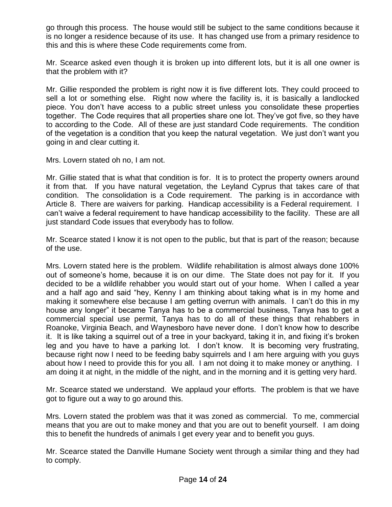go through this process. The house would still be subject to the same conditions because it is no longer a residence because of its use. It has changed use from a primary residence to this and this is where these Code requirements come from.

Mr. Scearce asked even though it is broken up into different lots, but it is all one owner is that the problem with it?

Mr. Gillie responded the problem is right now it is five different lots. They could proceed to sell a lot or something else. Right now where the facility is, it is basically a landlocked piece. You don't have access to a public street unless you consolidate these properties together. The Code requires that all properties share one lot. They've got five, so they have to according to the Code. All of these are just standard Code requirements. The condition of the vegetation is a condition that you keep the natural vegetation. We just don't want you going in and clear cutting it.

Mrs. Lovern stated oh no, I am not.

Mr. Gillie stated that is what that condition is for. It is to protect the property owners around it from that. If you have natural vegetation, the Leyland Cyprus that takes care of that condition. The consolidation is a Code requirement. The parking is in accordance with Article 8. There are waivers for parking. Handicap accessibility is a Federal requirement. I can't waive a federal requirement to have handicap accessibility to the facility. These are all just standard Code issues that everybody has to follow.

Mr. Scearce stated I know it is not open to the public, but that is part of the reason; because of the use.

Mrs. Lovern stated here is the problem. Wildlife rehabilitation is almost always done 100% out of someone's home, because it is on our dime. The State does not pay for it. If you decided to be a wildlife rehabber you would start out of your home. When I called a year and a half ago and said "hey, Kenny I am thinking about taking what is in my home and making it somewhere else because I am getting overrun with animals. I can't do this in my house any longer" it became Tanya has to be a commercial business, Tanya has to get a commercial special use permit, Tanya has to do all of these things that rehabbers in Roanoke, Virginia Beach, and Waynesboro have never done. I don't know how to describe it. It is like taking a squirrel out of a tree in your backyard, taking it in, and fixing it's broken leg and you have to have a parking lot. I don't know. It is becoming very frustrating, because right now I need to be feeding baby squirrels and I am here arguing with you guys about how I need to provide this for you all. I am not doing it to make money or anything. I am doing it at night, in the middle of the night, and in the morning and it is getting very hard.

Mr. Scearce stated we understand. We applaud your efforts. The problem is that we have got to figure out a way to go around this.

Mrs. Lovern stated the problem was that it was zoned as commercial. To me, commercial means that you are out to make money and that you are out to benefit yourself. I am doing this to benefit the hundreds of animals I get every year and to benefit you guys.

Mr. Scearce stated the Danville Humane Society went through a similar thing and they had to comply.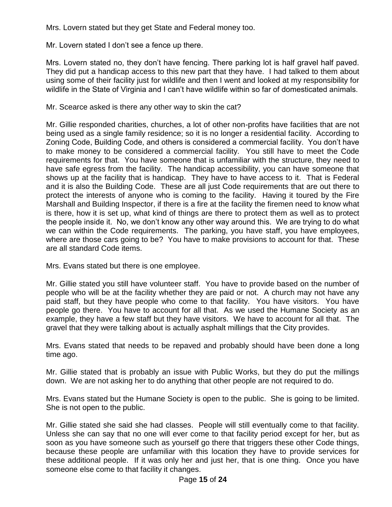Mrs. Lovern stated but they get State and Federal money too.

Mr. Lovern stated I don't see a fence up there.

Mrs. Lovern stated no, they don't have fencing. There parking lot is half gravel half paved. They did put a handicap access to this new part that they have. I had talked to them about using some of their facility just for wildlife and then I went and looked at my responsibility for wildlife in the State of Virginia and I can't have wildlife within so far of domesticated animals.

Mr. Scearce asked is there any other way to skin the cat?

Mr. Gillie responded charities, churches, a lot of other non-profits have facilities that are not being used as a single family residence; so it is no longer a residential facility. According to Zoning Code, Building Code, and others is considered a commercial facility. You don't have to make money to be considered a commercial facility. You still have to meet the Code requirements for that. You have someone that is unfamiliar with the structure, they need to have safe egress from the facility. The handicap accessibility, you can have someone that shows up at the facility that is handicap. They have to have access to it. That is Federal and it is also the Building Code. These are all just Code requirements that are out there to protect the interests of anyone who is coming to the facility. Having it toured by the Fire Marshall and Building Inspector, if there is a fire at the facility the firemen need to know what is there, how it is set up, what kind of things are there to protect them as well as to protect the people inside it. No, we don't know any other way around this. We are trying to do what we can within the Code requirements. The parking, you have staff, you have employees, where are those cars going to be? You have to make provisions to account for that. These are all standard Code items.

Mrs. Evans stated but there is one employee.

Mr. Gillie stated you still have volunteer staff. You have to provide based on the number of people who will be at the facility whether they are paid or not. A church may not have any paid staff, but they have people who come to that facility. You have visitors. You have people go there. You have to account for all that. As we used the Humane Society as an example, they have a few staff but they have visitors. We have to account for all that. The gravel that they were talking about is actually asphalt millings that the City provides.

Mrs. Evans stated that needs to be repaved and probably should have been done a long time ago.

Mr. Gillie stated that is probably an issue with Public Works, but they do put the millings down. We are not asking her to do anything that other people are not required to do.

Mrs. Evans stated but the Humane Society is open to the public. She is going to be limited. She is not open to the public.

Mr. Gillie stated she said she had classes. People will still eventually come to that facility. Unless she can say that no one will ever come to that facility period except for her, but as soon as you have someone such as yourself go there that triggers these other Code things, because these people are unfamiliar with this location they have to provide services for these additional people. If it was only her and just her, that is one thing. Once you have someone else come to that facility it changes.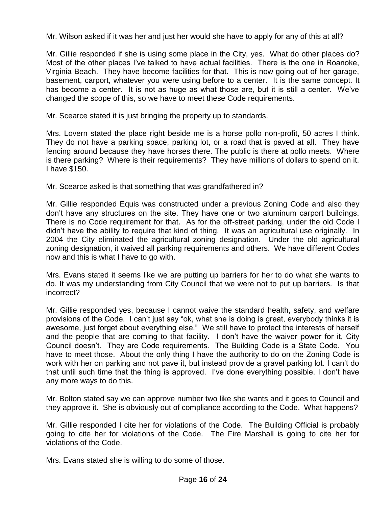Mr. Wilson asked if it was her and just her would she have to apply for any of this at all?

Mr. Gillie responded if she is using some place in the City, yes. What do other places do? Most of the other places I've talked to have actual facilities. There is the one in Roanoke, Virginia Beach. They have become facilities for that. This is now going out of her garage, basement, carport, whatever you were using before to a center. It is the same concept. It has become a center. It is not as huge as what those are, but it is still a center. We've changed the scope of this, so we have to meet these Code requirements.

Mr. Scearce stated it is just bringing the property up to standards.

Mrs. Lovern stated the place right beside me is a horse pollo non-profit, 50 acres I think. They do not have a parking space, parking lot, or a road that is paved at all. They have fencing around because they have horses there. The public is there at pollo meets. Where is there parking? Where is their requirements? They have millions of dollars to spend on it. I have \$150.

Mr. Scearce asked is that something that was grandfathered in?

Mr. Gillie responded Equis was constructed under a previous Zoning Code and also they don't have any structures on the site. They have one or two aluminum carport buildings. There is no Code requirement for that. As for the off-street parking, under the old Code I didn't have the ability to require that kind of thing. It was an agricultural use originally. In 2004 the City eliminated the agricultural zoning designation. Under the old agricultural zoning designation, it waived all parking requirements and others. We have different Codes now and this is what I have to go with.

Mrs. Evans stated it seems like we are putting up barriers for her to do what she wants to do. It was my understanding from City Council that we were not to put up barriers. Is that incorrect?

Mr. Gillie responded yes, because I cannot waive the standard health, safety, and welfare provisions of the Code. I can't just say "ok, what she is doing is great, everybody thinks it is awesome, just forget about everything else." We still have to protect the interests of herself and the people that are coming to that facility. I don't have the waiver power for it, City Council doesn't. They are Code requirements. The Building Code is a State Code. You have to meet those. About the only thing I have the authority to do on the Zoning Code is work with her on parking and not pave it, but instead provide a gravel parking lot. I can't do that until such time that the thing is approved. I've done everything possible. I don't have any more ways to do this.

Mr. Bolton stated say we can approve number two like she wants and it goes to Council and they approve it. She is obviously out of compliance according to the Code. What happens?

Mr. Gillie responded I cite her for violations of the Code. The Building Official is probably going to cite her for violations of the Code. The Fire Marshall is going to cite her for violations of the Code.

Mrs. Evans stated she is willing to do some of those.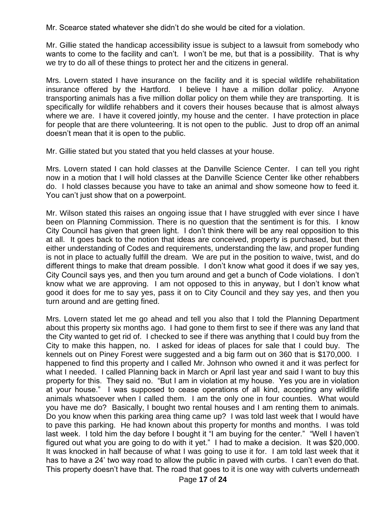Mr. Scearce stated whatever she didn't do she would be cited for a violation.

Mr. Gillie stated the handicap accessibility issue is subject to a lawsuit from somebody who wants to come to the facility and can't. I won't be me, but that is a possibility. That is why we try to do all of these things to protect her and the citizens in general.

Mrs. Lovern stated I have insurance on the facility and it is special wildlife rehabilitation insurance offered by the Hartford. I believe I have a million dollar policy. Anyone transporting animals has a five million dollar policy on them while they are transporting. It is specifically for wildlife rehabbers and it covers their houses because that is almost always where we are. I have it covered jointly, my house and the center. I have protection in place for people that are there volunteering. It is not open to the public. Just to drop off an animal doesn't mean that it is open to the public.

Mr. Gillie stated but you stated that you held classes at your house.

Mrs. Lovern stated I can hold classes at the Danville Science Center. I can tell you right now in a motion that I will hold classes at the Danville Science Center like other rehabbers do. I hold classes because you have to take an animal and show someone how to feed it. You can't just show that on a powerpoint.

Mr. Wilson stated this raises an ongoing issue that I have struggled with ever since I have been on Planning Commission. There is no question that the sentiment is for this. I know City Council has given that green light. I don't think there will be any real opposition to this at all. It goes back to the notion that ideas are conceived, property is purchased, but then either understanding of Codes and requirements, understanding the law, and proper funding is not in place to actually fulfill the dream. We are put in the position to waive, twist, and do different things to make that dream possible. I don't know what good it does if we say yes, City Council says yes, and then you turn around and get a bunch of Code violations. I don't know what we are approving. I am not opposed to this in anyway, but I don't know what good it does for me to say yes, pass it on to City Council and they say yes, and then you turn around and are getting fined.

Mrs. Lovern stated let me go ahead and tell you also that I told the Planning Department about this property six months ago. I had gone to them first to see if there was any land that the City wanted to get rid of. I checked to see if there was anything that I could buy from the City to make this happen, no. I asked for ideas of places for sale that I could buy. The kennels out on Piney Forest were suggested and a big farm out on 360 that is \$170,000. I happened to find this property and I called Mr. Johnson who owned it and it was perfect for what I needed. I called Planning back in March or April last year and said I want to buy this property for this. They said no. "But I am in violation at my house. Yes you are in violation at your house." I was supposed to cease operations of all kind, accepting any wildlife animals whatsoever when I called them. I am the only one in four counties. What would you have me do? Basically, I bought two rental houses and I am renting them to animals. Do you know when this parking area thing came up? I was told last week that I would have to pave this parking. He had known about this property for months and months. I was told last week. I told him the day before I bought it "I am buying for the center." "Well I haven't figured out what you are going to do with it yet." I had to make a decision. It was \$20,000. It was knocked in half because of what I was going to use it for. I am told last week that it has to have a 24' two way road to allow the public in paved with curbs. I can't even do that. This property doesn't have that. The road that goes to it is one way with culverts underneath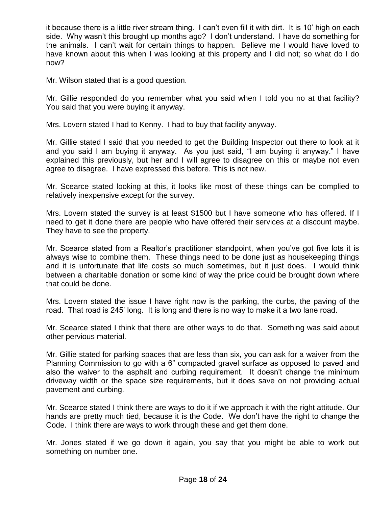it because there is a little river stream thing. I can't even fill it with dirt. It is 10' high on each side. Why wasn't this brought up months ago? I don't understand. I have do something for the animals. I can't wait for certain things to happen. Believe me I would have loved to have known about this when I was looking at this property and I did not; so what do I do now?

Mr. Wilson stated that is a good question.

Mr. Gillie responded do you remember what you said when I told you no at that facility? You said that you were buying it anyway.

Mrs. Lovern stated I had to Kenny. I had to buy that facility anyway.

Mr. Gillie stated I said that you needed to get the Building Inspector out there to look at it and you said I am buying it anyway. As you just said, "I am buying it anyway." I have explained this previously, but her and I will agree to disagree on this or maybe not even agree to disagree. I have expressed this before. This is not new.

Mr. Scearce stated looking at this, it looks like most of these things can be complied to relatively inexpensive except for the survey.

Mrs. Lovern stated the survey is at least \$1500 but I have someone who has offered. If I need to get it done there are people who have offered their services at a discount maybe. They have to see the property.

Mr. Scearce stated from a Realtor's practitioner standpoint, when you've got five lots it is always wise to combine them. These things need to be done just as housekeeping things and it is unfortunate that life costs so much sometimes, but it just does. I would think between a charitable donation or some kind of way the price could be brought down where that could be done.

Mrs. Lovern stated the issue I have right now is the parking, the curbs, the paving of the road. That road is 245' long. It is long and there is no way to make it a two lane road.

Mr. Scearce stated I think that there are other ways to do that. Something was said about other pervious material.

Mr. Gillie stated for parking spaces that are less than six, you can ask for a waiver from the Planning Commission to go with a 6" compacted gravel surface as opposed to paved and also the waiver to the asphalt and curbing requirement. It doesn't change the minimum driveway width or the space size requirements, but it does save on not providing actual pavement and curbing.

Mr. Scearce stated I think there are ways to do it if we approach it with the right attitude. Our hands are pretty much tied, because it is the Code. We don't have the right to change the Code. I think there are ways to work through these and get them done.

Mr. Jones stated if we go down it again, you say that you might be able to work out something on number one.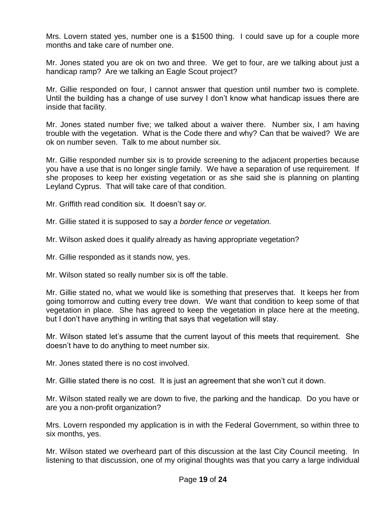Mrs. Lovern stated yes, number one is a \$1500 thing. I could save up for a couple more months and take care of number one.

Mr. Jones stated you are ok on two and three. We get to four, are we talking about just a handicap ramp? Are we talking an Eagle Scout project?

Mr. Gillie responded on four, I cannot answer that question until number two is complete. Until the building has a change of use survey I don't know what handicap issues there are inside that facility.

Mr. Jones stated number five; we talked about a waiver there. Number six, I am having trouble with the vegetation. What is the Code there and why? Can that be waived? We are ok on number seven. Talk to me about number six.

Mr. Gillie responded number six is to provide screening to the adjacent properties because you have a use that is no longer single family. We have a separation of use requirement. If she proposes to keep her existing vegetation or as she said she is planning on planting Leyland Cyprus. That will take care of that condition.

Mr. Griffith read condition six. It doesn't say *or.*

Mr. Gillie stated it is supposed to say *a border fence or vegetation.*

Mr. Wilson asked does it qualify already as having appropriate vegetation?

Mr. Gillie responded as it stands now, yes.

Mr. Wilson stated so really number six is off the table.

Mr. Gillie stated no, what we would like is something that preserves that. It keeps her from going tomorrow and cutting every tree down. We want that condition to keep some of that vegetation in place. She has agreed to keep the vegetation in place here at the meeting, but I don't have anything in writing that says that vegetation will stay.

Mr. Wilson stated let's assume that the current layout of this meets that requirement. She doesn't have to do anything to meet number six.

Mr. Jones stated there is no cost involved.

Mr. Gillie stated there is no cost. It is just an agreement that she won't cut it down.

Mr. Wilson stated really we are down to five, the parking and the handicap. Do you have or are you a non-profit organization?

Mrs. Lovern responded my application is in with the Federal Government, so within three to six months, yes.

Mr. Wilson stated we overheard part of this discussion at the last City Council meeting. In listening to that discussion, one of my original thoughts was that you carry a large individual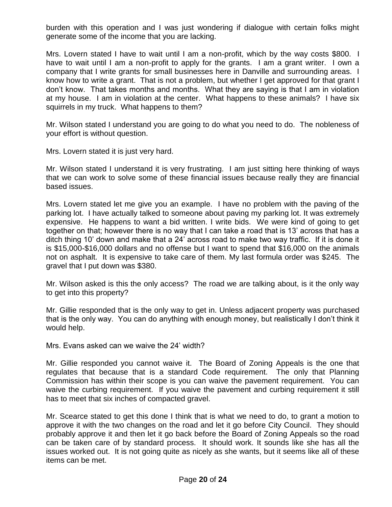burden with this operation and I was just wondering if dialogue with certain folks might generate some of the income that you are lacking.

Mrs. Lovern stated I have to wait until I am a non-profit, which by the way costs \$800. I have to wait until I am a non-profit to apply for the grants. I am a grant writer. I own a company that I write grants for small businesses here in Danville and surrounding areas. I know how to write a grant. That is not a problem, but whether I get approved for that grant I don't know. That takes months and months. What they are saying is that I am in violation at my house. I am in violation at the center. What happens to these animals? I have six squirrels in my truck. What happens to them?

Mr. Wilson stated I understand you are going to do what you need to do. The nobleness of your effort is without question.

Mrs. Lovern stated it is just very hard.

Mr. Wilson stated I understand it is very frustrating. I am just sitting here thinking of ways that we can work to solve some of these financial issues because really they are financial based issues.

Mrs. Lovern stated let me give you an example. I have no problem with the paving of the parking lot. I have actually talked to someone about paving my parking lot. It was extremely expensive. He happens to want a bid written. I write bids. We were kind of going to get together on that; however there is no way that I can take a road that is 13' across that has a ditch thing 10' down and make that a 24' across road to make two way traffic. If it is done it is \$15,000-\$16,000 dollars and no offense but I want to spend that \$16,000 on the animals not on asphalt. It is expensive to take care of them. My last formula order was \$245. The gravel that I put down was \$380.

Mr. Wilson asked is this the only access? The road we are talking about, is it the only way to get into this property?

Mr. Gillie responded that is the only way to get in. Unless adjacent property was purchased that is the only way. You can do anything with enough money, but realistically I don't think it would help.

Mrs. Evans asked can we waive the 24' width?

Mr. Gillie responded you cannot waive it. The Board of Zoning Appeals is the one that regulates that because that is a standard Code requirement. The only that Planning Commission has within their scope is you can waive the pavement requirement. You can waive the curbing requirement. If you waive the pavement and curbing requirement it still has to meet that six inches of compacted gravel.

Mr. Scearce stated to get this done I think that is what we need to do, to grant a motion to approve it with the two changes on the road and let it go before City Council. They should probably approve it and then let it go back before the Board of Zoning Appeals so the road can be taken care of by standard process. It should work. It sounds like she has all the issues worked out. It is not going quite as nicely as she wants, but it seems like all of these items can be met.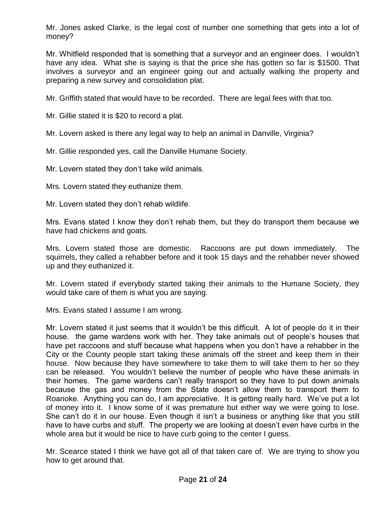Mr. Jones asked Clarke, is the legal cost of number one something that gets into a lot of money?

Mr. Whitfield responded that is something that a surveyor and an engineer does. I wouldn't have any idea. What she is saying is that the price she has gotten so far is \$1500. That involves a surveyor and an engineer going out and actually walking the property and preparing a new survey and consolidation plat.

Mr. Griffith stated that would have to be recorded. There are legal fees with that too.

Mr. Gillie stated it is \$20 to record a plat.

Mr. Lovern asked is there any legal way to help an animal in Danville, Virginia?

Mr. Gillie responded yes, call the Danville Humane Society.

Mr. Lovern stated they don't take wild animals.

Mrs. Lovern stated they euthanize them.

Mr. Lovern stated they don't rehab wildlife.

Mrs. Evans stated I know they don't rehab them, but they do transport them because we have had chickens and goats.

Mrs. Lovern stated those are domestic. Raccoons are put down immediately. The squirrels, they called a rehabber before and it took 15 days and the rehabber never showed up and they euthanized it.

Mr. Lovern stated if everybody started taking their animals to the Humane Society, they would take care of them is what you are saying.

Mrs. Evans stated I assume I am wrong.

Mr. Lovern stated it just seems that it wouldn't be this difficult. A lot of people do it in their house. the game wardens work with her. They take animals out of people's houses that have pet raccoons and stuff because what happens when you don't have a rehabber in the City or the County people start taking these animals off the street and keep them in their house. Now because they have somewhere to take them to will take them to her so they can be released. You wouldn't believe the number of people who have these animals in their homes. The game wardens can't really transport so they have to put down animals because the gas and money from the State doesn't allow them to transport them to Roanoke. Anything you can do, I am appreciative. It is getting really hard. We've put a lot of money into it. I know some of it was premature but either way we were going to lose. She can't do it in our house. Even though it isn't a business or anything like that you still have to have curbs and stuff. The property we are looking at doesn't even have curbs in the whole area but it would be nice to have curb going to the center I guess.

Mr. Scearce stated I think we have got all of that taken care of. We are trying to show you how to get around that.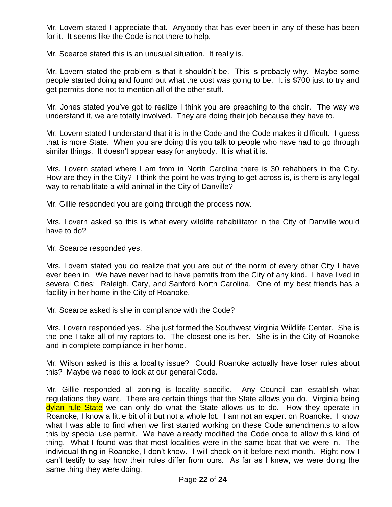Mr. Lovern stated I appreciate that. Anybody that has ever been in any of these has been for it. It seems like the Code is not there to help.

Mr. Scearce stated this is an unusual situation. It really is.

Mr. Lovern stated the problem is that it shouldn't be. This is probably why. Maybe some people started doing and found out what the cost was going to be. It is \$700 just to try and get permits done not to mention all of the other stuff.

Mr. Jones stated you've got to realize I think you are preaching to the choir. The way we understand it, we are totally involved. They are doing their job because they have to.

Mr. Lovern stated I understand that it is in the Code and the Code makes it difficult. I guess that is more State. When you are doing this you talk to people who have had to go through similar things. It doesn't appear easy for anybody. It is what it is.

Mrs. Lovern stated where I am from in North Carolina there is 30 rehabbers in the City. How are they in the City? I think the point he was trying to get across is, is there is any legal way to rehabilitate a wild animal in the City of Danville?

Mr. Gillie responded you are going through the process now.

Mrs. Lovern asked so this is what every wildlife rehabilitator in the City of Danville would have to do?

Mr. Scearce responded yes.

Mrs. Lovern stated you do realize that you are out of the norm of every other City I have ever been in. We have never had to have permits from the City of any kind. I have lived in several Cities: Raleigh, Cary, and Sanford North Carolina. One of my best friends has a facility in her home in the City of Roanoke.

Mr. Scearce asked is she in compliance with the Code?

Mrs. Lovern responded yes. She just formed the Southwest Virginia Wildlife Center. She is the one I take all of my raptors to. The closest one is her. She is in the City of Roanoke and in complete compliance in her home.

Mr. Wilson asked is this a locality issue? Could Roanoke actually have loser rules about this? Maybe we need to look at our general Code.

Mr. Gillie responded all zoning is locality specific. Any Council can establish what regulations they want. There are certain things that the State allows you do. Virginia being dylan rule State we can only do what the State allows us to do. How they operate in Roanoke, I know a little bit of it but not a whole lot. I am not an expert on Roanoke. I know what I was able to find when we first started working on these Code amendments to allow this by special use permit. We have already modified the Code once to allow this kind of thing. What I found was that most localities were in the same boat that we were in. The individual thing in Roanoke, I don't know. I will check on it before next month. Right now I can't testify to say how their rules differ from ours. As far as I knew, we were doing the same thing they were doing.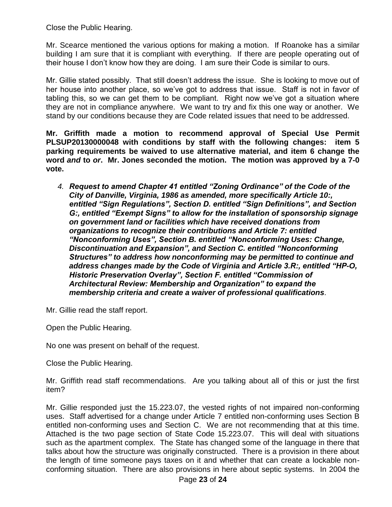Close the Public Hearing.

Mr. Scearce mentioned the various options for making a motion. If Roanoke has a similar building I am sure that it is compliant with everything. If there are people operating out of their house I don't know how they are doing. I am sure their Code is similar to ours.

Mr. Gillie stated possibly. That still doesn't address the issue. She is looking to move out of her house into another place, so we've got to address that issue. Staff is not in favor of tabling this, so we can get them to be compliant. Right now we've got a situation where they are not in compliance anywhere. We want to try and fix this one way or another. We stand by our conditions because they are Code related issues that need to be addressed.

**Mr. Griffith made a motion to recommend approval of Special Use Permit PLSUP20130000048 with conditions by staff with the following changes: item 5 parking requirements be waived to use alternative material, and item 6 change the word** *and* **to** *or***. Mr. Jones seconded the motion. The motion was approved by a 7-0 vote.**

*4. Request to amend Chapter 41 entitled "Zoning Ordinance" of the Code of the City of Danville, Virginia, 1986 as amended, more specifically Article 10:, entitled "Sign Regulations", Section D. entitled "Sign Definitions", and Section G:, entitled "Exempt Signs" to allow for the installation of sponsorship signage on government land or facilities which have received donations from organizations to recognize their contributions and Article 7: entitled "Nonconforming Uses", Section B. entitled "Nonconforming Uses: Change, Discontinuation and Expansion", and Section C. entitled "Nonconforming Structures" to address how nonconforming may be permitted to continue and address changes made by the Code of Virginia and Article 3.R:, entitled "HP-O, Historic Preservation Overlay", Section F. entitled "Commission of Architectural Review: Membership and Organization" to expand the membership criteria and create a waiver of professional qualifications.*

Mr. Gillie read the staff report.

Open the Public Hearing.

No one was present on behalf of the request.

Close the Public Hearing.

Mr. Griffith read staff recommendations. Are you talking about all of this or just the first item?

Mr. Gillie responded just the 15.223.07, the vested rights of not impaired non-conforming uses. Staff advertised for a change under Article 7 entitled non-conforming uses Section B entitled non-conforming uses and Section C. We are not recommending that at this time. Attached is the two page section of State Code 15.223.07. This will deal with situations such as the apartment complex. The State has changed some of the language in there that talks about how the structure was originally constructed. There is a provision in there about the length of time someone pays taxes on it and whether that can create a lockable nonconforming situation. There are also provisions in here about septic systems. In 2004 the